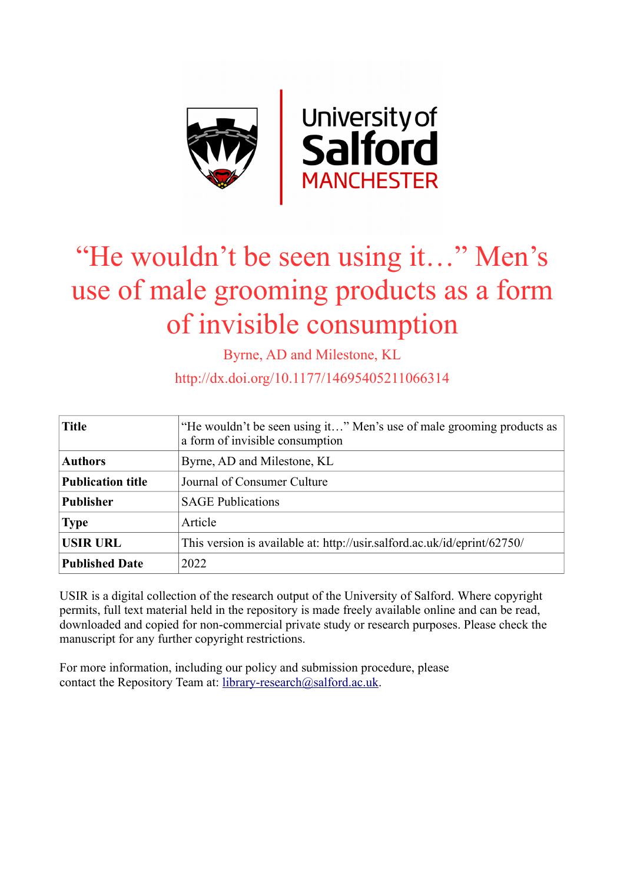

# "He wouldn't be seen using it…" Men's use of male grooming products as a form of invisible consumption

Byrne, AD and Milestone, KL

http://dx.doi.org/10.1177/14695405211066314

| <b>Title</b>             | "He wouldn't be seen using it" Men's use of male grooming products as<br>a form of invisible consumption |
|--------------------------|----------------------------------------------------------------------------------------------------------|
| <b>Authors</b>           | Byrne, AD and Milestone, KL                                                                              |
| <b>Publication title</b> | Journal of Consumer Culture                                                                              |
| <b>Publisher</b>         | <b>SAGE Publications</b>                                                                                 |
| <b>Type</b>              | Article                                                                                                  |
| <b>USIR URL</b>          | This version is available at: http://usir.salford.ac.uk/id/eprint/62750/                                 |
| <b>Published Date</b>    | 2022                                                                                                     |

USIR is a digital collection of the research output of the University of Salford. Where copyright permits, full text material held in the repository is made freely available online and can be read, downloaded and copied for non-commercial private study or research purposes. Please check the manuscript for any further copyright restrictions.

For more information, including our policy and submission procedure, please contact the Repository Team at: [library-research@salford.ac.uk.](mailto:library-research@salford.ac.uk)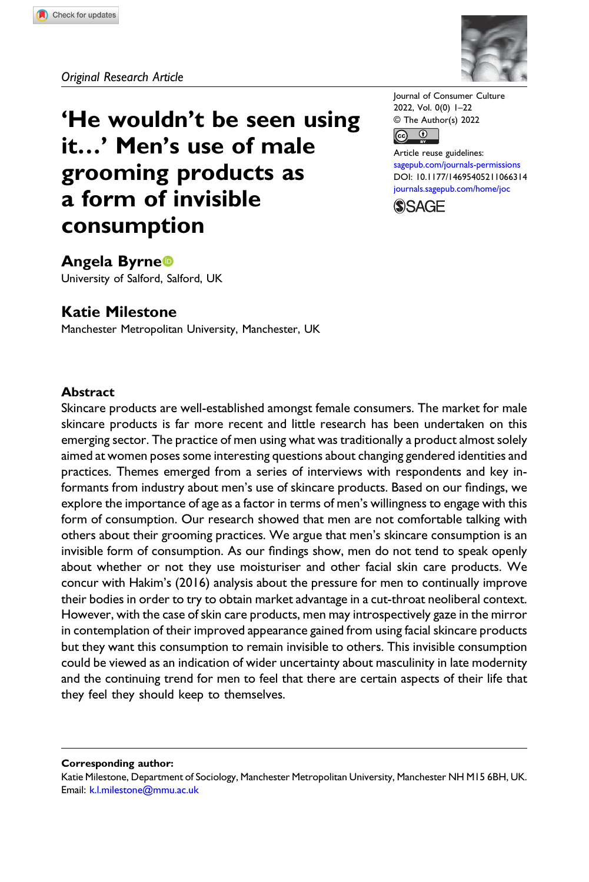

'He wouldn't be seen using it…' Men's use of male grooming products as a form of invisible consumption

Journal of Consumer Culture 2022, Vol. 0(0) 1–22 © The Author(s) 2022



Article reuse guidelines: [sagepub.com/journals-permissions](https://uk.sagepub.com/en-gb/journals-permissions) DOI: [10.1177/14695405211066314](https://doi.org/10.1177/14695405211066314) [journals.sagepub.com/home/joc](https://journals.sagepub.com/home/joc)



Angela Byrne University of Salford, Salford, UK

# Katie Milestone

Manchester Metropolitan University, Manchester, UK

#### Abstract

Skincare products are well-established amongst female consumers. The market for male skincare products is far more recent and little research has been undertaken on this emerging sector. The practice of men using what was traditionally a product almost solely aimed at women poses some interesting questions about changing gendered identities and practices. Themes emerged from a series of interviews with respondents and key informants from industry about men's use of skincare products. Based on our findings, we explore the importance of age as a factor in terms of men's willingness to engage with this form of consumption. Our research showed that men are not comfortable talking with others about their grooming practices. We argue that men's skincare consumption is an invisible form of consumption. As our findings show, men do not tend to speak openly about whether or not they use moisturiser and other facial skin care products. We concur with Hakim's (2016) analysis about the pressure for men to continually improve their bodies in order to try to obtain market advantage in a cut-throat neoliberal context. However, with the case of skin care products, men may introspectively gaze in the mirror in contemplation of their improved appearance gained from using facial skincare products but they want this consumption to remain invisible to others. This invisible consumption could be viewed as an indication of wider uncertainty about masculinity in late modernity and the continuing trend for men to feel that there are certain aspects of their life that they feel they should keep to themselves.

Corresponding author:

Katie Milestone, Department of Sociology, Manchester Metropolitan University, Manchester NH M15 6BH, UK. Email: [k.l.milestone@mmu.ac.uk](mailto:k.l.milestone@mmu.ac.uk)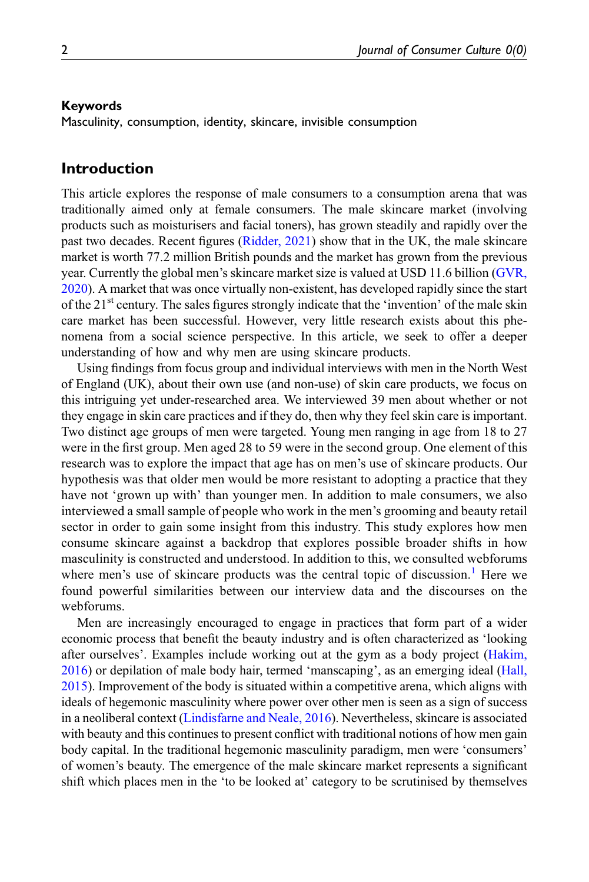#### Keywords

Masculinity, consumption, identity, skincare, invisible consumption

## Introduction

This article explores the response of male consumers to a consumption arena that was traditionally aimed only at female consumers. The male skincare market (involving products such as moisturisers and facial toners), has grown steadily and rapidly over the past two decades. Recent figures [\(Ridder, 2021](#page-21-0)) show that in the UK, the male skincare market is worth 77.2 million British pounds and the market has grown from the previous year. Currently the global men's skincare market size is valued at USD 11.6 billion ([GVR,](#page-20-0) [2020\)](#page-20-0). A market that was once virtually non-existent, has developed rapidly since the start of the  $21<sup>st</sup>$  century. The sales figures strongly indicate that the 'invention' of the male skin care market has been successful. However, very little research exists about this phenomena from a social science perspective. In this article, we seek to offer a deeper understanding of how and why men are using skincare products.

Using findings from focus group and individual interviews with men in the North West of England (UK), about their own use (and non-use) of skin care products, we focus on this intriguing yet under-researched area. We interviewed 39 men about whether or not they engage in skin care practices and if they do, then why they feel skin care is important. Two distinct age groups of men were targeted. Young men ranging in age from 18 to 27 were in the first group. Men aged 28 to 59 were in the second group. One element of this research was to explore the impact that age has on men's use of skincare products. Our hypothesis was that older men would be more resistant to adopting a practice that they have not 'grown up with' than younger men. In addition to male consumers, we also interviewed a small sample of people who work in the men's grooming and beauty retail sector in order to gain some insight from this industry. This study explores how men consume skincare against a backdrop that explores possible broader shifts in how masculinity is constructed and understood. In addition to this, we consulted webforums where men's use of skincare products was the central topic of discussion.<sup>1</sup> Here we found powerful similarities between our interview data and the discourses on the webforums.

Men are increasingly encouraged to engage in practices that form part of a wider economic process that benefit the beauty industry and is often characterized as 'looking after ourselves'. Examples include working out at the gym as a body project ([Hakim,](#page-20-1) [2016\)](#page-20-1) or depilation of male body hair, termed 'manscaping', as an emerging ideal ([Hall,](#page-20-2) [2015\)](#page-20-2). Improvement of the body is situated within a competitive arena, which aligns with ideals of hegemonic masculinity where power over other men is seen as a sign of success in a neoliberal context ([Lindisfarne and Neale, 2016](#page-21-1)). Nevertheless, skincare is associated with beauty and this continues to present conflict with traditional notions of how men gain body capital. In the traditional hegemonic masculinity paradigm, men were 'consumers' of women's beauty. The emergence of the male skincare market represents a significant shift which places men in the 'to be looked at' category to be scrutinised by themselves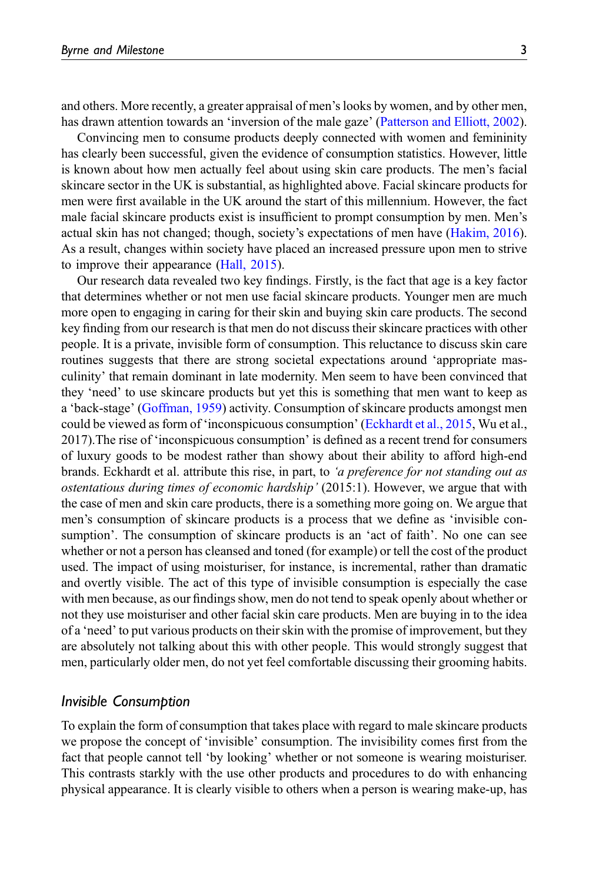and others. More recently, a greater appraisal of men's looks by women, and by other men, has drawn attention towards an 'inversion of the male gaze' ([Patterson and Elliott, 2002\)](#page-21-2).

Convincing men to consume products deeply connected with women and femininity has clearly been successful, given the evidence of consumption statistics. However, little is known about how men actually feel about using skin care products. The men's facial skincare sector in the UK is substantial, as highlighted above. Facial skincare products for men were first available in the UK around the start of this millennium. However, the fact male facial skincare products exist is insufficient to prompt consumption by men. Men's actual skin has not changed; though, society's expectations of men have [\(Hakim, 2016\)](#page-20-1). As a result, changes within society have placed an increased pressure upon men to strive to improve their appearance ([Hall, 2015](#page-20-2)).

Our research data revealed two key findings. Firstly, is the fact that age is a key factor that determines whether or not men use facial skincare products. Younger men are much more open to engaging in caring for their skin and buying skin care products. The second key finding from our research is that men do not discuss their skincare practices with other people. It is a private, invisible form of consumption. This reluctance to discuss skin care routines suggests that there are strong societal expectations around 'appropriate masculinity' that remain dominant in late modernity. Men seem to have been convinced that they 'need' to use skincare products but yet this is something that men want to keep as a 'back-stage' ([Goffman, 1959\)](#page-20-3) activity. Consumption of skincare products amongst men could be viewed as form of 'inconspicuous consumption' [\(Eckhardt et al., 2015,](#page-20-4) Wu et al., 2017).The rise of 'inconspicuous consumption' is defined as a recent trend for consumers of luxury goods to be modest rather than showy about their ability to afford high-end brands. Eckhardt et al. attribute this rise, in part, to 'a preference for not standing out as ostentatious during times of economic hardship' (2015:1). However, we argue that with the case of men and skin care products, there is a something more going on. We argue that men's consumption of skincare products is a process that we define as 'invisible consumption'. The consumption of skincare products is an 'act of faith'. No one can see whether or not a person has cleansed and toned (for example) or tell the cost of the product used. The impact of using moisturiser, for instance, is incremental, rather than dramatic and overtly visible. The act of this type of invisible consumption is especially the case with men because, as our findings show, men do not tend to speak openly about whether or not they use moisturiser and other facial skin care products. Men are buying in to the idea of a 'need' to put various products on their skin with the promise of improvement, but they are absolutely not talking about this with other people. This would strongly suggest that men, particularly older men, do not yet feel comfortable discussing their grooming habits.

#### Invisible Consumption

To explain the form of consumption that takes place with regard to male skincare products we propose the concept of 'invisible' consumption. The invisibility comes first from the fact that people cannot tell 'by looking' whether or not someone is wearing moisturiser. This contrasts starkly with the use other products and procedures to do with enhancing physical appearance. It is clearly visible to others when a person is wearing make-up, has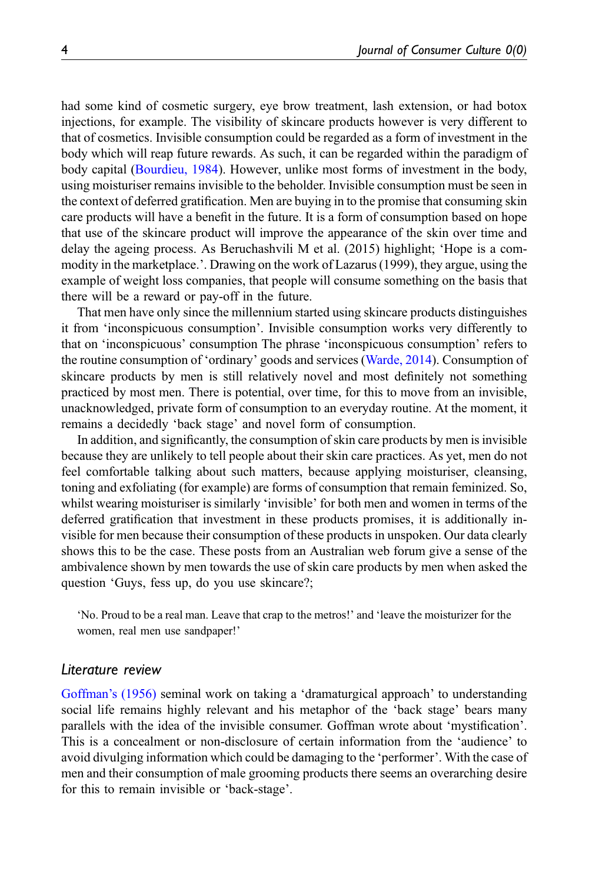had some kind of cosmetic surgery, eye brow treatment, lash extension, or had botox injections, for example. The visibility of skincare products however is very different to that of cosmetics. Invisible consumption could be regarded as a form of investment in the body which will reap future rewards. As such, it can be regarded within the paradigm of body capital ([Bourdieu, 1984](#page-20-5)). However, unlike most forms of investment in the body, using moisturiser remains invisible to the beholder. Invisible consumption must be seen in the context of deferred gratification. Men are buying in to the promise that consuming skin care products will have a benefit in the future. It is a form of consumption based on hope that use of the skincare product will improve the appearance of the skin over time and delay the ageing process. As Beruchashvili M et al. (2015) highlight; 'Hope is a commodity in the marketplace.'. Drawing on the work of Lazarus (1999), they argue, using the example of weight loss companies, that people will consume something on the basis that there will be a reward or pay-off in the future.

That men have only since the millennium started using skincare products distinguishes it from 'inconspicuous consumption'. Invisible consumption works very differently to that on 'inconspicuous' consumption The phrase 'inconspicuous consumption' refers to the routine consumption of 'ordinary' goods and services ([Warde, 2014\)](#page-22-0). Consumption of skincare products by men is still relatively novel and most definitely not something practiced by most men. There is potential, over time, for this to move from an invisible, unacknowledged, private form of consumption to an everyday routine. At the moment, it remains a decidedly 'back stage' and novel form of consumption.

In addition, and significantly, the consumption of skin care products by men is invisible because they are unlikely to tell people about their skin care practices. As yet, men do not feel comfortable talking about such matters, because applying moisturiser, cleansing, toning and exfoliating (for example) are forms of consumption that remain feminized. So, whilst wearing moisturiser is similarly 'invisible' for both men and women in terms of the deferred gratification that investment in these products promises, it is additionally invisible for men because their consumption of these products in unspoken. Our data clearly shows this to be the case. These posts from an Australian web forum give a sense of the ambivalence shown by men towards the use of skin care products by men when asked the question 'Guys, fess up, do you use skincare?;

'No. Proud to be a real man. Leave that crap to the metros!' and 'leave the moisturizer for the women, real men use sandpaper!'

#### Literature review

[Goffman](#page-20-3)'s (1956) seminal work on taking a 'dramaturgical approach' to understanding social life remains highly relevant and his metaphor of the 'back stage' bears many parallels with the idea of the invisible consumer. Goffman wrote about 'mystification'. This is a concealment or non-disclosure of certain information from the 'audience' to avoid divulging information which could be damaging to the 'performer'. With the case of men and their consumption of male grooming products there seems an overarching desire for this to remain invisible or 'back-stage'.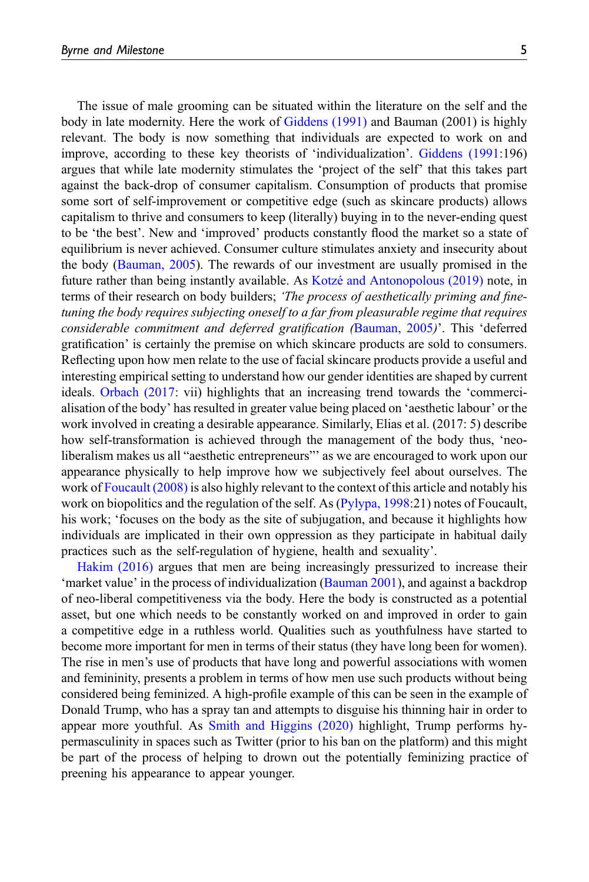The issue of male grooming can be situated within the literature on the self and the body in late modernity. Here the work of [Giddens \(1991\)](#page-20-6) and Bauman (2001) is highly relevant. The body is now something that individuals are expected to work on and improve, according to these key theorists of 'individualization'. [Giddens \(1991](#page-20-6):196) argues that while late modernity stimulates the 'project of the self' that this takes part against the back-drop of consumer capitalism. Consumption of products that promise some sort of self-improvement or competitive edge (such as skincare products) allows capitalism to thrive and consumers to keep (literally) buying in to the never-ending quest to be 'the best'. New and 'improved' products constantly flood the market so a state of equilibrium is never achieved. Consumer culture stimulates anxiety and insecurity about the body [\(Bauman, 2005](#page-19-0)). The rewards of our investment are usually promised in the future rather than being instantly available. As [Kotz](#page-21-3)é and Antonopolous  $(2019)$  note, in terms of their research on body builders; 'The process of aesthetically priming and finetuning the body requires subjecting oneself to a far from pleasurable regime that requires considerable commitment and deferred gratification ([Bauman, 2005](#page-19-0))'. This 'deferred gratification' is certainly the premise on which skincare products are sold to consumers. Reflecting upon how men relate to the use of facial skincare products provide a useful and interesting empirical setting to understand how our gender identities are shaped by current ideals. [Orbach \(2017](#page-21-4): vii) highlights that an increasing trend towards the 'commercialisation of the body' has resulted in greater value being placed on 'aesthetic labour' or the work involved in creating a desirable appearance. Similarly, Elias et al. (2017: 5) describe how self-transformation is achieved through the management of the body thus, 'neoliberalism makes us all "aesthetic entrepreneurs"' as we are encouraged to work upon our appearance physically to help improve how we subjectively feel about ourselves. The work of [Foucault \(2008\)](#page-20-7) is also highly relevant to the context of this article and notably his work on biopolitics and the regulation of the self. As ([Pylypa, 1998:](#page-21-5)21) notes of Foucault, his work; 'focuses on the body as the site of subjugation, and because it highlights how individuals are implicated in their own oppression as they participate in habitual daily practices such as the self-regulation of hygiene, health and sexuality'.

[Hakim \(2016\)](#page-20-1) argues that men are being increasingly pressurized to increase their 'market value' in the process of individualization [\(Bauman 2001\)](#page-19-1), and against a backdrop of neo-liberal competitiveness via the body. Here the body is constructed as a potential asset, but one which needs to be constantly worked on and improved in order to gain a competitive edge in a ruthless world. Qualities such as youthfulness have started to become more important for men in terms of their status (they have long been for women). The rise in men's use of products that have long and powerful associations with women and femininity, presents a problem in terms of how men use such products without being considered being feminized. A high-profile example of this can be seen in the example of Donald Trump, who has a spray tan and attempts to disguise his thinning hair in order to appear more youthful. As [Smith and Higgins \(2020\)](#page-22-1) highlight, Trump performs hypermasculinity in spaces such as Twitter (prior to his ban on the platform) and this might be part of the process of helping to drown out the potentially feminizing practice of preening his appearance to appear younger.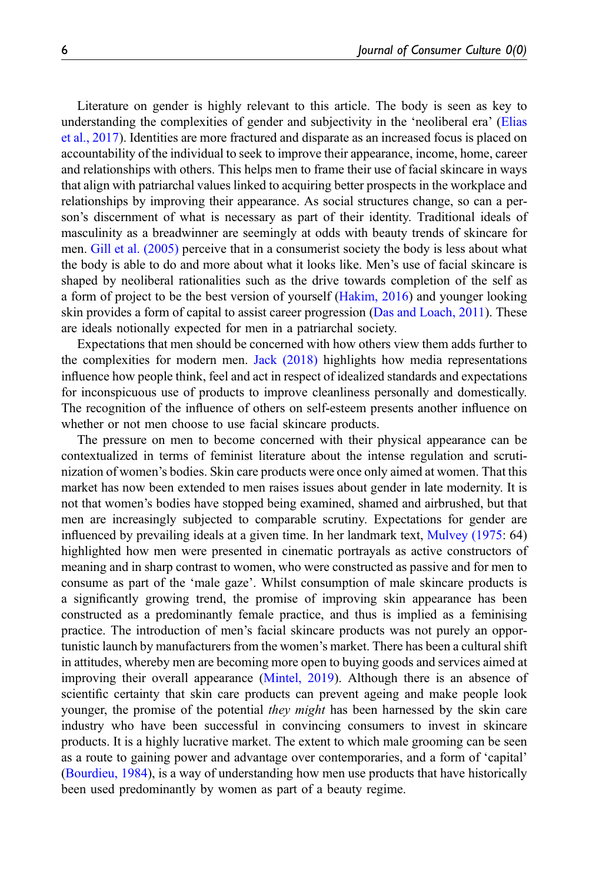Literature on gender is highly relevant to this article. The body is seen as key to understanding the complexities of gender and subjectivity in the 'neoliberal era' ([Elias](#page-20-8) [et al., 2017](#page-20-8)). Identities are more fractured and disparate as an increased focus is placed on accountability of the individual to seek to improve their appearance, income, home, career and relationships with others. This helps men to frame their use of facial skincare in ways that align with patriarchal values linked to acquiring better prospects in the workplace and relationships by improving their appearance. As social structures change, so can a person's discernment of what is necessary as part of their identity. Traditional ideals of masculinity as a breadwinner are seemingly at odds with beauty trends of skincare for men. [Gill et al. \(2005\)](#page-20-9) perceive that in a consumerist society the body is less about what the body is able to do and more about what it looks like. Men's use of facial skincare is shaped by neoliberal rationalities such as the drive towards completion of the self as a form of project to be the best version of yourself ([Hakim, 2016](#page-20-1)) and younger looking skin provides a form of capital to assist career progression ([Das and Loach, 2011](#page-20-10)). These are ideals notionally expected for men in a patriarchal society.

Expectations that men should be concerned with how others view them adds further to the complexities for modern men. [Jack \(2018\)](#page-21-6) highlights how media representations influence how people think, feel and act in respect of idealized standards and expectations for inconspicuous use of products to improve cleanliness personally and domestically. The recognition of the influence of others on self-esteem presents another influence on whether or not men choose to use facial skincare products.

The pressure on men to become concerned with their physical appearance can be contextualized in terms of feminist literature about the intense regulation and scrutinization of women's bodies. Skin care products were once only aimed at women. That this market has now been extended to men raises issues about gender in late modernity. It is not that women's bodies have stopped being examined, shamed and airbrushed, but that men are increasingly subjected to comparable scrutiny. Expectations for gender are influenced by prevailing ideals at a given time. In her landmark text, [Mulvey \(1975:](#page-21-7) 64) highlighted how men were presented in cinematic portrayals as active constructors of meaning and in sharp contrast to women, who were constructed as passive and for men to consume as part of the 'male gaze'. Whilst consumption of male skincare products is a significantly growing trend, the promise of improving skin appearance has been constructed as a predominantly female practice, and thus is implied as a feminising practice. The introduction of men's facial skincare products was not purely an opportunistic launch by manufacturers from the women's market. There has been a cultural shift in attitudes, whereby men are becoming more open to buying goods and services aimed at improving their overall appearance [\(Mintel, 2019](#page-21-8)). Although there is an absence of scientific certainty that skin care products can prevent ageing and make people look younger, the promise of the potential *they might* has been harnessed by the skin care industry who have been successful in convincing consumers to invest in skincare products. It is a highly lucrative market. The extent to which male grooming can be seen as a route to gaining power and advantage over contemporaries, and a form of 'capital' [\(Bourdieu, 1984\)](#page-20-5), is a way of understanding how men use products that have historically been used predominantly by women as part of a beauty regime.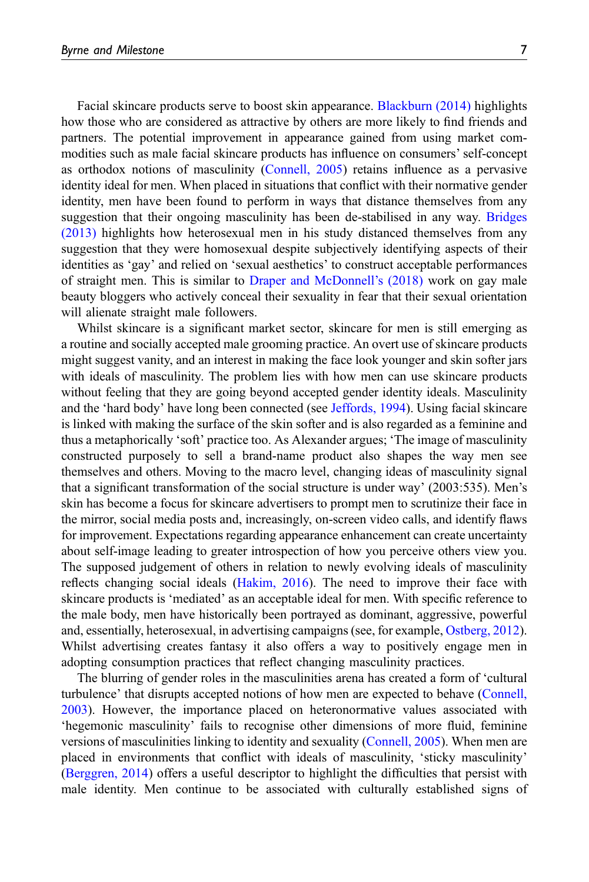Facial skincare products serve to boost skin appearance. [Blackburn \(2014\)](#page-19-2) highlights how those who are considered as attractive by others are more likely to find friends and partners. The potential improvement in appearance gained from using market commodities such as male facial skincare products has influence on consumers' self-concept as orthodox notions of masculinity [\(Connell, 2005\)](#page-20-11) retains influence as a pervasive identity ideal for men. When placed in situations that conflict with their normative gender identity, men have been found to perform in ways that distance themselves from any suggestion that their ongoing masculinity has been de-stabilised in any way. [Bridges](#page-20-12) [\(2013\)](#page-20-12) highlights how heterosexual men in his study distanced themselves from any suggestion that they were homosexual despite subjectively identifying aspects of their identities as 'gay' and relied on 'sexual aesthetics' to construct acceptable performances of straight men. This is similar to [Draper and McDonnell](#page-20-13)'s (2018) work on gay male beauty bloggers who actively conceal their sexuality in fear that their sexual orientation will alienate straight male followers.

Whilst skincare is a significant market sector, skincare for men is still emerging as a routine and socially accepted male grooming practice. An overt use of skincare products might suggest vanity, and an interest in making the face look younger and skin softer jars with ideals of masculinity. The problem lies with how men can use skincare products without feeling that they are going beyond accepted gender identity ideals. Masculinity and the 'hard body' have long been connected (see [Jeffords, 1994](#page-21-9)). Using facial skincare is linked with making the surface of the skin softer and is also regarded as a feminine and thus a metaphorically 'soft' practice too. As Alexander argues; 'The image of masculinity constructed purposely to sell a brand-name product also shapes the way men see themselves and others. Moving to the macro level, changing ideas of masculinity signal that a significant transformation of the social structure is under way' (2003:535). Men's skin has become a focus for skincare advertisers to prompt men to scrutinize their face in the mirror, social media posts and, increasingly, on-screen video calls, and identify flaws for improvement. Expectations regarding appearance enhancement can create uncertainty about self-image leading to greater introspection of how you perceive others view you. The supposed judgement of others in relation to newly evolving ideals of masculinity reflects changing social ideals [\(Hakim, 2016](#page-20-1)). The need to improve their face with skincare products is 'mediated' as an acceptable ideal for men. With specific reference to the male body, men have historically been portrayed as dominant, aggressive, powerful and, essentially, heterosexual, in advertising campaigns (see, for example, [Ostberg, 2012\)](#page-21-10). Whilst advertising creates fantasy it also offers a way to positively engage men in adopting consumption practices that reflect changing masculinity practices.

The blurring of gender roles in the masculinities arena has created a form of 'cultural turbulence' that disrupts accepted notions of how men are expected to behave [\(Connell,](#page-20-14) [2003\)](#page-20-14). However, the importance placed on heteronormative values associated with 'hegemonic masculinity' fails to recognise other dimensions of more fluid, feminine versions of masculinities linking to identity and sexuality [\(Connell, 2005](#page-20-11)). When men are placed in environments that conflict with ideals of masculinity, 'sticky masculinity' [\(Berggren, 2014\)](#page-19-3) offers a useful descriptor to highlight the difficulties that persist with male identity. Men continue to be associated with culturally established signs of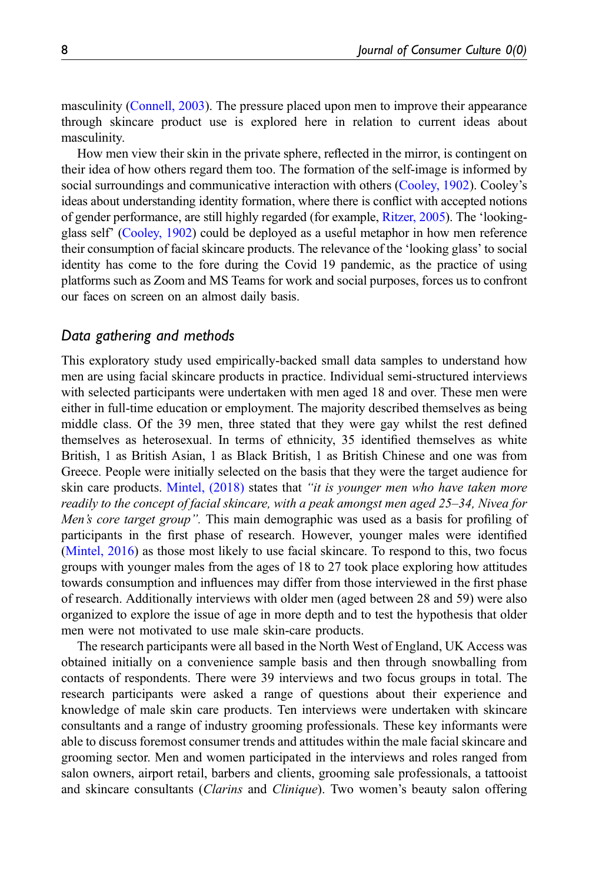masculinity ([Connell, 2003](#page-20-14)). The pressure placed upon men to improve their appearance through skincare product use is explored here in relation to current ideas about masculinity.

How men view their skin in the private sphere, reflected in the mirror, is contingent on their idea of how others regard them too. The formation of the self-image is informed by social surroundings and communicative interaction with others ([Cooley, 1902\)](#page-20-15). Cooley's ideas about understanding identity formation, where there is conflict with accepted notions of gender performance, are still highly regarded (for example, [Ritzer, 2005\)](#page-21-11). The 'lookingglass self' ([Cooley, 1902](#page-20-15)) could be deployed as a useful metaphor in how men reference their consumption of facial skincare products. The relevance of the 'looking glass' to social identity has come to the fore during the Covid 19 pandemic, as the practice of using platforms such as Zoom and MS Teams for work and social purposes, forces us to confront our faces on screen on an almost daily basis.

## Data gathering and methods

This exploratory study used empirically-backed small data samples to understand how men are using facial skincare products in practice. Individual semi-structured interviews with selected participants were undertaken with men aged 18 and over. These men were either in full-time education or employment. The majority described themselves as being middle class. Of the 39 men, three stated that they were gay whilst the rest defined themselves as heterosexual. In terms of ethnicity, 35 identified themselves as white British, 1 as British Asian, 1 as Black British, 1 as British Chinese and one was from Greece. People were initially selected on the basis that they were the target audience for skin care products. [Mintel, \(2018\)](#page-21-12) states that "it is younger men who have taken more readily to the concept of facial skincare, with a peak amongst men aged 25–34, Nivea for Men's core target group". This main demographic was used as a basis for profiling of participants in the first phase of research. However, younger males were identified [\(Mintel, 2016\)](#page-21-13) as those most likely to use facial skincare. To respond to this, two focus groups with younger males from the ages of 18 to 27 took place exploring how attitudes towards consumption and influences may differ from those interviewed in the first phase of research. Additionally interviews with older men (aged between 28 and 59) were also organized to explore the issue of age in more depth and to test the hypothesis that older men were not motivated to use male skin-care products.

The research participants were all based in the North West of England, UK Access was obtained initially on a convenience sample basis and then through snowballing from contacts of respondents. There were 39 interviews and two focus groups in total. The research participants were asked a range of questions about their experience and knowledge of male skin care products. Ten interviews were undertaken with skincare consultants and a range of industry grooming professionals. These key informants were able to discuss foremost consumer trends and attitudes within the male facial skincare and grooming sector. Men and women participated in the interviews and roles ranged from salon owners, airport retail, barbers and clients, grooming sale professionals, a tattooist and skincare consultants *(Clarins and Clinique)*. Two women's beauty salon offering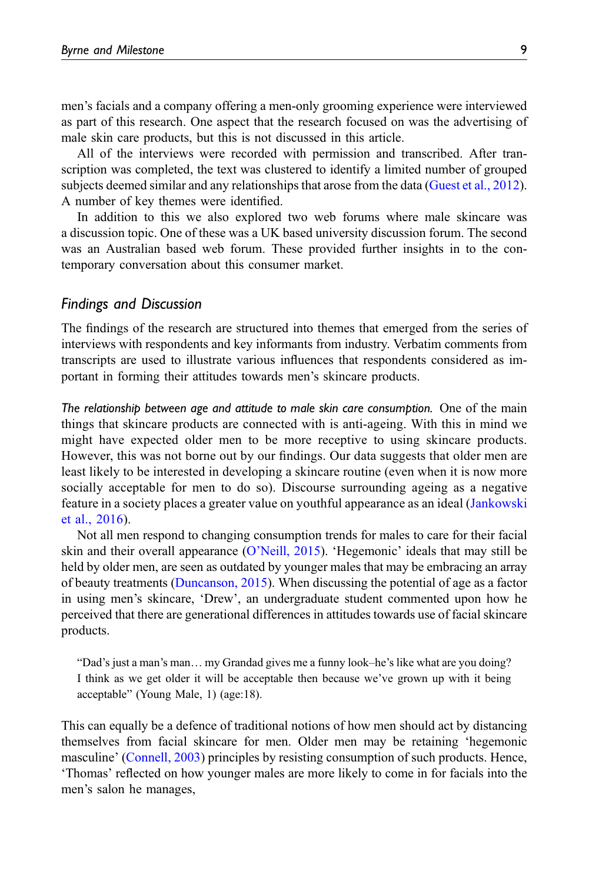men's facials and a company offering a men-only grooming experience were interviewed as part of this research. One aspect that the research focused on was the advertising of male skin care products, but this is not discussed in this article.

All of the interviews were recorded with permission and transcribed. After transcription was completed, the text was clustered to identify a limited number of grouped subjects deemed similar and any relationships that arose from the data ([Guest et al., 2012\)](#page-20-16). A number of key themes were identified.

In addition to this we also explored two web forums where male skincare was a discussion topic. One of these was a UK based university discussion forum. The second was an Australian based web forum. These provided further insights in to the contemporary conversation about this consumer market.

#### Findings and Discussion

The findings of the research are structured into themes that emerged from the series of interviews with respondents and key informants from industry. Verbatim comments from transcripts are used to illustrate various influences that respondents considered as important in forming their attitudes towards men's skincare products.

The relationship between age and attitude to male skin care consumption. One of the main things that skincare products are connected with is anti-ageing. With this in mind we might have expected older men to be more receptive to using skincare products. However, this was not borne out by our findings. Our data suggests that older men are least likely to be interested in developing a skincare routine (even when it is now more socially acceptable for men to do so). Discourse surrounding ageing as a negative feature in a society places a greater value on youthful appearance as an ideal [\(Jankowski](#page-20-17) [et al., 2016\)](#page-20-17).

Not all men respond to changing consumption trends for males to care for their facial skin and their overall appearance (O'[Neill, 2015\)](#page-21-14). 'Hegemonic' ideals that may still be held by older men, are seen as outdated by younger males that may be embracing an array of beauty treatments ([Duncanson, 2015](#page-20-18)). When discussing the potential of age as a factor in using men's skincare, 'Drew', an undergraduate student commented upon how he perceived that there are generational differences in attitudes towards use of facial skincare products.

"Dad's just a man's man… my Grandad gives me a funny look–he's like what are you doing? I think as we get older it will be acceptable then because we've grown up with it being acceptable" (Young Male, 1) (age:18).

This can equally be a defence of traditional notions of how men should act by distancing themselves from facial skincare for men. Older men may be retaining 'hegemonic masculine' ([Connell, 2003\)](#page-20-14) principles by resisting consumption of such products. Hence, 'Thomas' reflected on how younger males are more likely to come in for facials into the men's salon he manages,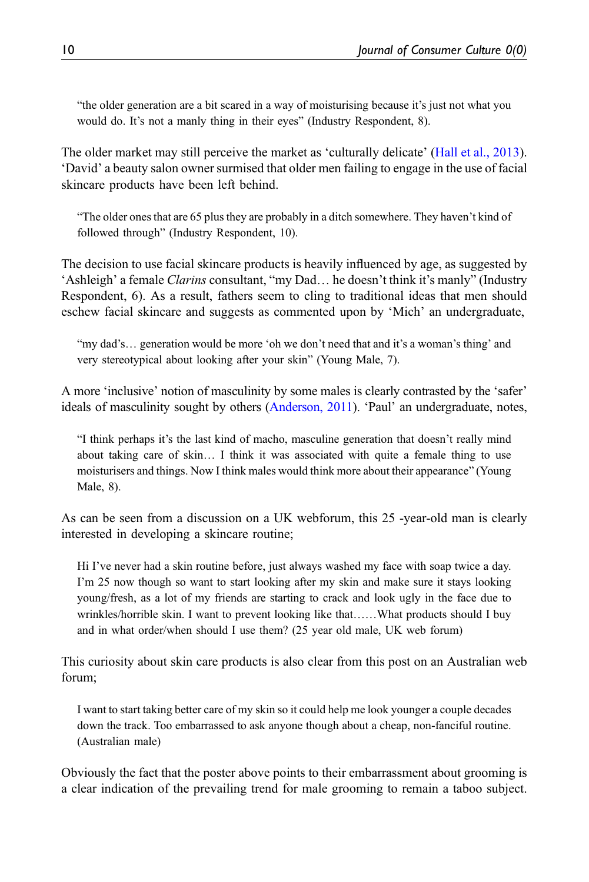"the older generation are a bit scared in a way of moisturising because it's just not what you would do. It's not a manly thing in their eyes" (Industry Respondent, 8).

The older market may still perceive the market as 'culturally delicate' ([Hall et al., 2013\)](#page-21-15). 'David' a beauty salon owner surmised that older men failing to engage in the use of facial skincare products have been left behind.

"The older ones that are 65 plus they are probably in a ditch somewhere. They haven't kind of followed through" (Industry Respondent, 10).

The decision to use facial skincare products is heavily influenced by age, as suggested by 'Ashleigh' a female Clarins consultant, "my Dad… he doesn't think it's manly" (Industry Respondent, 6). As a result, fathers seem to cling to traditional ideas that men should eschew facial skincare and suggests as commented upon by 'Mich' an undergraduate,

"my dad's… generation would be more 'oh we don't need that and it's a woman's thing' and very stereotypical about looking after your skin" (Young Male, 7).

A more 'inclusive' notion of masculinity by some males is clearly contrasted by the 'safer' ideals of masculinity sought by others ([Anderson, 2011](#page-19-4)). 'Paul' an undergraduate, notes,

"I think perhaps it's the last kind of macho, masculine generation that doesn't really mind about taking care of skin… I think it was associated with quite a female thing to use moisturisers and things. Now I think males would think more about their appearance" (Young Male, 8).

As can be seen from a discussion on a UK webforum, this 25 -year-old man is clearly interested in developing a skincare routine;

Hi I've never had a skin routine before, just always washed my face with soap twice a day. I'm 25 now though so want to start looking after my skin and make sure it stays looking young/fresh, as a lot of my friends are starting to crack and look ugly in the face due to wrinkles/horrible skin. I want to prevent looking like that……What products should I buy and in what order/when should I use them? (25 year old male, UK web forum)

This curiosity about skin care products is also clear from this post on an Australian web forum;

I want to start taking better care of my skin so it could help me look younger a couple decades down the track. Too embarrassed to ask anyone though about a cheap, non-fanciful routine. (Australian male)

Obviously the fact that the poster above points to their embarrassment about grooming is a clear indication of the prevailing trend for male grooming to remain a taboo subject.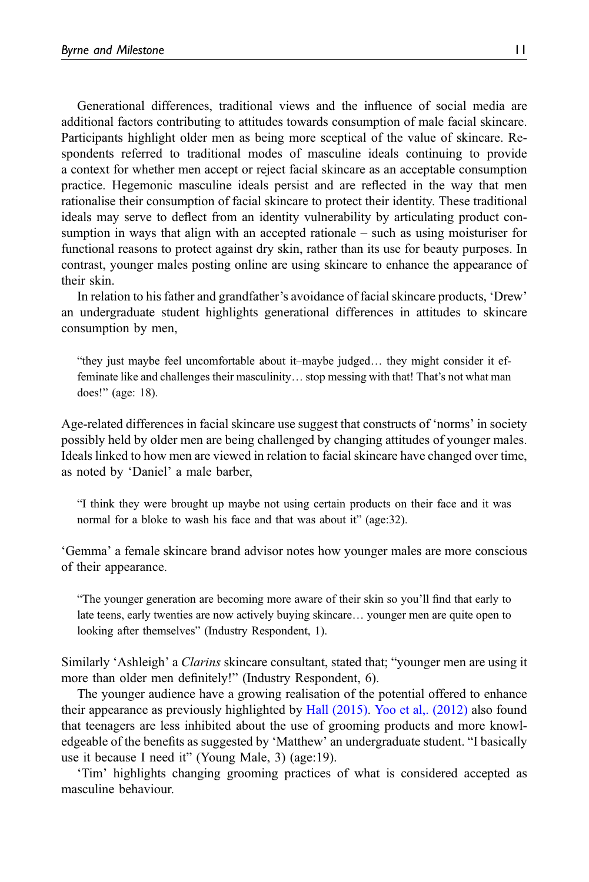Generational differences, traditional views and the influence of social media are additional factors contributing to attitudes towards consumption of male facial skincare. Participants highlight older men as being more sceptical of the value of skincare. Respondents referred to traditional modes of masculine ideals continuing to provide a context for whether men accept or reject facial skincare as an acceptable consumption practice. Hegemonic masculine ideals persist and are reflected in the way that men rationalise their consumption of facial skincare to protect their identity. These traditional ideals may serve to deflect from an identity vulnerability by articulating product consumption in ways that align with an accepted rationale – such as using moisturiser for functional reasons to protect against dry skin, rather than its use for beauty purposes. In contrast, younger males posting online are using skincare to enhance the appearance of their skin.

In relation to his father and grandfather's avoidance of facial skincare products, 'Drew' an undergraduate student highlights generational differences in attitudes to skincare consumption by men,

"they just maybe feel uncomfortable about it–maybe judged… they might consider it effeminate like and challenges their masculinity... stop messing with that! That's not what man does!" (age: 18).

Age-related differences in facial skincare use suggest that constructs of 'norms' in society possibly held by older men are being challenged by changing attitudes of younger males. Ideals linked to how men are viewed in relation to facial skincare have changed over time, as noted by 'Daniel' a male barber,

"I think they were brought up maybe not using certain products on their face and it was normal for a bloke to wash his face and that was about it" (age:32).

'Gemma' a female skincare brand advisor notes how younger males are more conscious of their appearance.

"The younger generation are becoming more aware of their skin so you'll find that early to late teens, early twenties are now actively buying skincare… younger men are quite open to looking after themselves" (Industry Respondent, 1).

Similarly 'Ashleigh' a Clarins skincare consultant, stated that; "younger men are using it more than older men definitely!" (Industry Respondent, 6).

The younger audience have a growing realisation of the potential offered to enhance their appearance as previously highlighted by [Hall \(2015\)](#page-20-2). [Yoo et al,. \(2012\)](#page-22-2) also found that teenagers are less inhibited about the use of grooming products and more knowledgeable of the benefits as suggested by 'Matthew' an undergraduate student. "I basically use it because I need it" (Young Male, 3) (age:19).

'Tim' highlights changing grooming practices of what is considered accepted as masculine behaviour.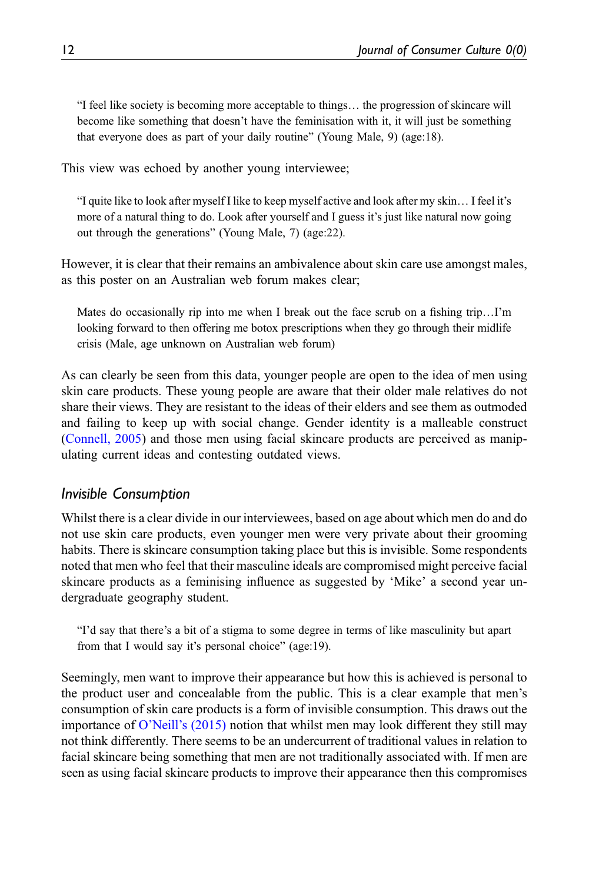"I feel like society is becoming more acceptable to things… the progression of skincare will become like something that doesn't have the feminisation with it, it will just be something that everyone does as part of your daily routine" (Young Male, 9) (age:18).

This view was echoed by another young interviewee;

"I quite like to look after myself I like to keep myself active and look after my skin… I feel it's more of a natural thing to do. Look after yourself and I guess it's just like natural now going out through the generations" (Young Male, 7) (age:22).

However, it is clear that their remains an ambivalence about skin care use amongst males, as this poster on an Australian web forum makes clear;

Mates do occasionally rip into me when I break out the face scrub on a fishing trip…I'm looking forward to then offering me botox prescriptions when they go through their midlife crisis (Male, age unknown on Australian web forum)

As can clearly be seen from this data, younger people are open to the idea of men using skin care products. These young people are aware that their older male relatives do not share their views. They are resistant to the ideas of their elders and see them as outmoded and failing to keep up with social change. Gender identity is a malleable construct [\(Connell, 2005](#page-20-11)) and those men using facial skincare products are perceived as manipulating current ideas and contesting outdated views.

## Invisible Consumption

Whilst there is a clear divide in our interviewees, based on age about which men do and do not use skin care products, even younger men were very private about their grooming habits. There is skincare consumption taking place but this is invisible. Some respondents noted that men who feel that their masculine ideals are compromised might perceive facial skincare products as a feminising influence as suggested by 'Mike' a second year undergraduate geography student.

"I'd say that there's a bit of a stigma to some degree in terms of like masculinity but apart from that I would say it's personal choice" (age:19).

Seemingly, men want to improve their appearance but how this is achieved is personal to the product user and concealable from the public. This is a clear example that men's consumption of skin care products is a form of invisible consumption. This draws out the importance of O'Neill'[s \(2015\)](#page-21-14) notion that whilst men may look different they still may not think differently. There seems to be an undercurrent of traditional values in relation to facial skincare being something that men are not traditionally associated with. If men are seen as using facial skincare products to improve their appearance then this compromises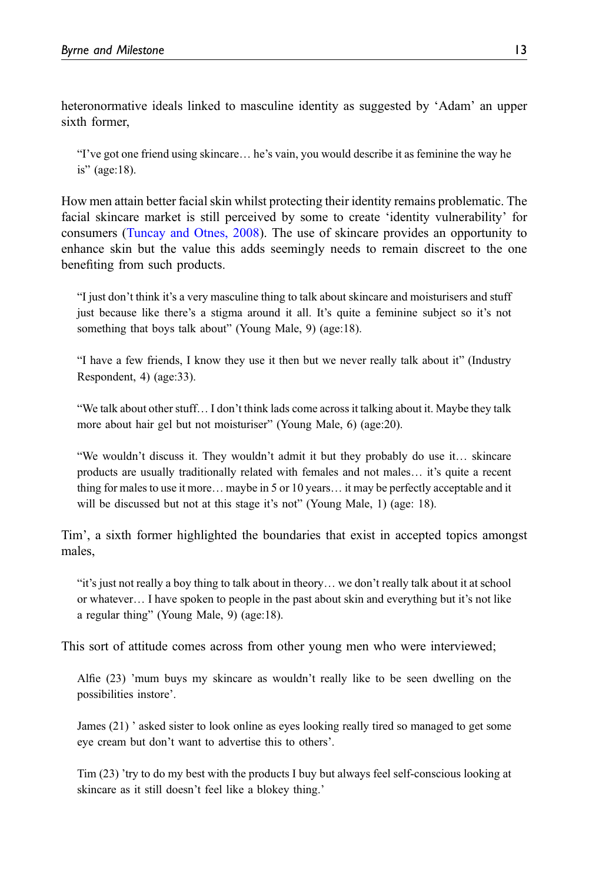heteronormative ideals linked to masculine identity as suggested by 'Adam' an upper sixth former,

"I've got one friend using skincare… he's vain, you would describe it as feminine the way he is" (age:18).

How men attain better facial skin whilst protecting their identity remains problematic. The facial skincare market is still perceived by some to create 'identity vulnerability' for consumers [\(Tuncay and Otnes, 2008](#page-22-3)). The use of skincare provides an opportunity to enhance skin but the value this adds seemingly needs to remain discreet to the one benefiting from such products.

"I just don't think it's a very masculine thing to talk about skincare and moisturisers and stuff just because like there's a stigma around it all. It's quite a feminine subject so it's not something that boys talk about" (Young Male, 9) (age:18).

"I have a few friends, I know they use it then but we never really talk about it" (Industry Respondent, 4) (age:33).

"We talk about other stuff… I don't think lads come across it talking about it. Maybe they talk more about hair gel but not moisturiser" (Young Male, 6) (age:20).

"We wouldn't discuss it. They wouldn't admit it but they probably do use it… skincare products are usually traditionally related with females and not males… it's quite a recent thing for males to use it more… maybe in 5 or 10 years… it may be perfectly acceptable and it will be discussed but not at this stage it's not" (Young Male, 1) (age: 18).

Tim', a sixth former highlighted the boundaries that exist in accepted topics amongst males,

"it's just not really a boy thing to talk about in theory… we don't really talk about it at school or whatever… I have spoken to people in the past about skin and everything but it's not like a regular thing" (Young Male, 9) (age:18).

This sort of attitude comes across from other young men who were interviewed;

Alfie (23) 'mum buys my skincare as wouldn't really like to be seen dwelling on the possibilities instore'.

James (21) ' asked sister to look online as eyes looking really tired so managed to get some eye cream but don't want to advertise this to others'.

Tim (23) 'try to do my best with the products I buy but always feel self-conscious looking at skincare as it still doesn't feel like a blokey thing.'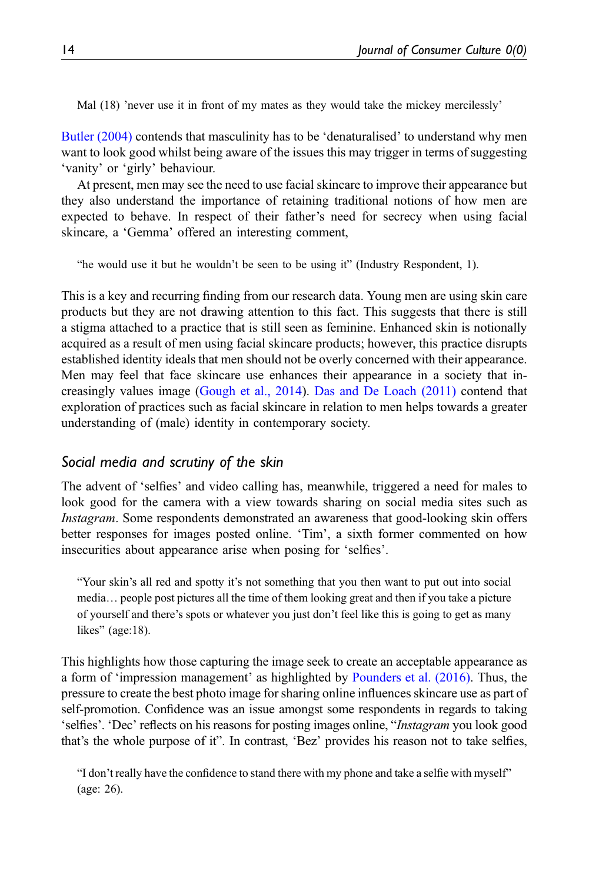Mal (18) 'never use it in front of my mates as they would take the mickey mercilessly'

[Butler \(2004\)](#page-20-19) contends that masculinity has to be 'denaturalised' to understand why men want to look good whilst being aware of the issues this may trigger in terms of suggesting 'vanity' or 'girly' behaviour.

At present, men may see the need to use facial skincare to improve their appearance but they also understand the importance of retaining traditional notions of how men are expected to behave. In respect of their father's need for secrecy when using facial skincare, a 'Gemma' offered an interesting comment,

"he would use it but he wouldn't be seen to be using it" (Industry Respondent, 1).

This is a key and recurring finding from our research data. Young men are using skin care products but they are not drawing attention to this fact. This suggests that there is still a stigma attached to a practice that is still seen as feminine. Enhanced skin is notionally acquired as a result of men using facial skincare products; however, this practice disrupts established identity ideals that men should not be overly concerned with their appearance. Men may feel that face skincare use enhances their appearance in a society that increasingly values image ([Gough et al., 2014\)](#page-20-20). [Das and De Loach \(2011\)](#page-20-10) contend that exploration of practices such as facial skincare in relation to men helps towards a greater understanding of (male) identity in contemporary society.

## Social media and scrutiny of the skin

The advent of 'selfies' and video calling has, meanwhile, triggered a need for males to look good for the camera with a view towards sharing on social media sites such as Instagram. Some respondents demonstrated an awareness that good-looking skin offers better responses for images posted online. 'Tim', a sixth former commented on how insecurities about appearance arise when posing for 'selfies'.

"Your skin's all red and spotty it's not something that you then want to put out into social media… people post pictures all the time of them looking great and then if you take a picture of yourself and there's spots or whatever you just don't feel like this is going to get as many likes" (age:18).

This highlights how those capturing the image seek to create an acceptable appearance as a form of 'impression management' as highlighted by [Pounders et al. \(2016\)](#page-21-16). Thus, the pressure to create the best photo image for sharing online influences skincare use as part of self-promotion. Confidence was an issue amongst some respondents in regards to taking 'selfies'. 'Dec' reflects on his reasons for posting images online, "Instagram you look good that's the whole purpose of it". In contrast, 'Bez' provides his reason not to take selfies,

"I don't really have the confidence to stand there with my phone and take a selfie with myself" (age: 26).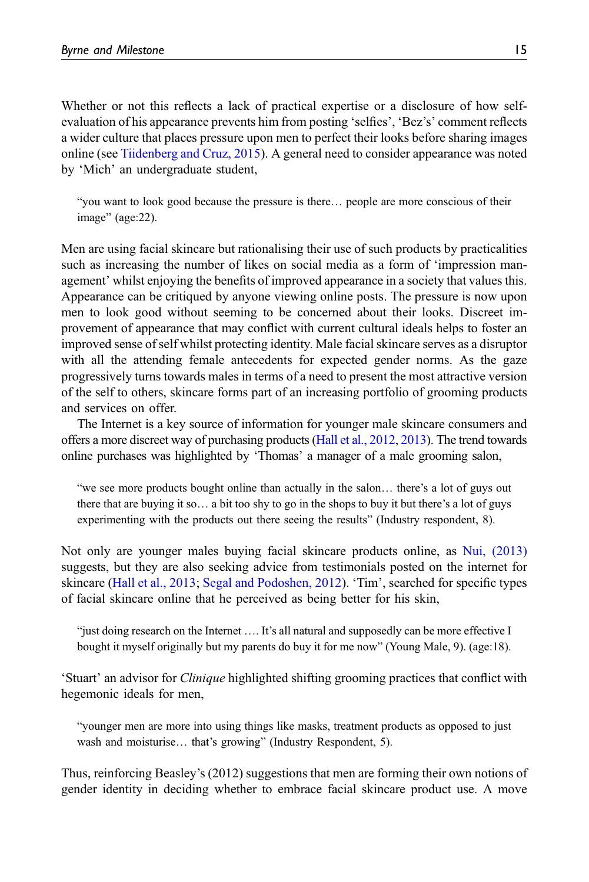Whether or not this reflects a lack of practical expertise or a disclosure of how selfevaluation of his appearance prevents him from posting 'selfies', 'Bez's' comment reflects a wider culture that places pressure upon men to perfect their looks before sharing images online (see [Tiidenberg and Cruz, 2015\)](#page-22-4). A general need to consider appearance was noted by 'Mich' an undergraduate student,

"you want to look good because the pressure is there… people are more conscious of their image" (age:22).

Men are using facial skincare but rationalising their use of such products by practicalities such as increasing the number of likes on social media as a form of 'impression management' whilst enjoying the benefits of improved appearance in a society that values this. Appearance can be critiqued by anyone viewing online posts. The pressure is now upon men to look good without seeming to be concerned about their looks. Discreet improvement of appearance that may conflict with current cultural ideals helps to foster an improved sense of self whilst protecting identity. Male facial skincare serves as a disruptor with all the attending female antecedents for expected gender norms. As the gaze progressively turns towards males in terms of a need to present the most attractive version of the self to others, skincare forms part of an increasing portfolio of grooming products and services on offer.

The Internet is a key source of information for younger male skincare consumers and offers a more discreet way of purchasing products [\(Hall et al., 2012,](#page-21-17) [2013](#page-21-15)). The trend towards online purchases was highlighted by 'Thomas' a manager of a male grooming salon,

"we see more products bought online than actually in the salon… there's a lot of guys out there that are buying it so… a bit too shy to go in the shops to buy it but there's a lot of guys experimenting with the products out there seeing the results" (Industry respondent, 8).

Not only are younger males buying facial skincare products online, as [Nui, \(2013\)](#page-21-18) suggests, but they are also seeking advice from testimonials posted on the internet for skincare [\(Hall et al., 2013](#page-21-15); [Segal and Podoshen, 2012\)](#page-22-5). 'Tim', searched for specific types of facial skincare online that he perceived as being better for his skin,

"just doing research on the Internet …. It's all natural and supposedly can be more effective I bought it myself originally but my parents do buy it for me now" (Young Male, 9). (age:18).

'Stuart' an advisor for Clinique highlighted shifting grooming practices that conflict with hegemonic ideals for men,

"younger men are more into using things like masks, treatment products as opposed to just wash and moisturise… that's growing" (Industry Respondent, 5).

Thus, reinforcing Beasley's (2012) suggestions that men are forming their own notions of gender identity in deciding whether to embrace facial skincare product use. A move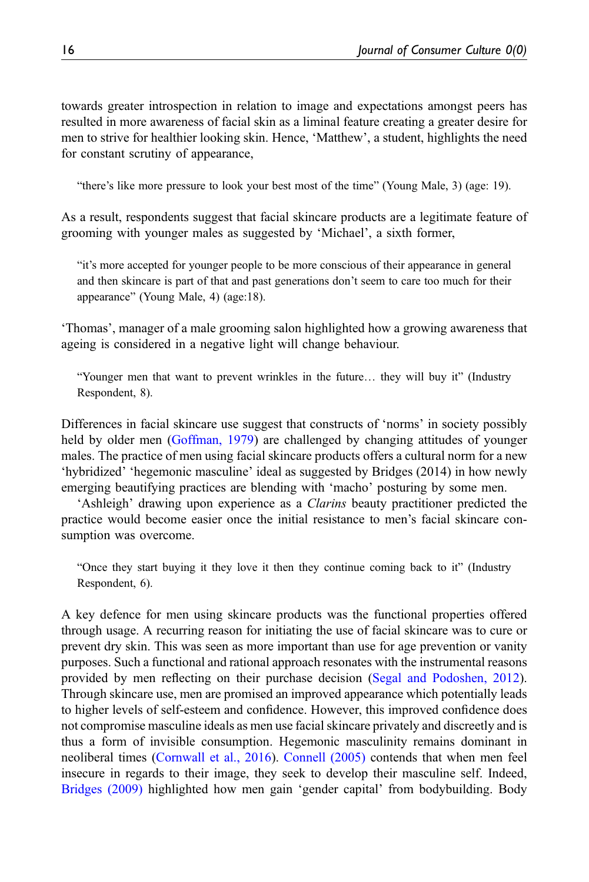towards greater introspection in relation to image and expectations amongst peers has resulted in more awareness of facial skin as a liminal feature creating a greater desire for men to strive for healthier looking skin. Hence, 'Matthew', a student, highlights the need for constant scrutiny of appearance,

"there's like more pressure to look your best most of the time" (Young Male, 3) (age: 19).

As a result, respondents suggest that facial skincare products are a legitimate feature of grooming with younger males as suggested by 'Michael', a sixth former,

"it's more accepted for younger people to be more conscious of their appearance in general and then skincare is part of that and past generations don't seem to care too much for their appearance" (Young Male, 4) (age:18).

'Thomas', manager of a male grooming salon highlighted how a growing awareness that ageing is considered in a negative light will change behaviour.

"Younger men that want to prevent wrinkles in the future… they will buy it" (Industry Respondent, 8).

Differences in facial skincare use suggest that constructs of 'norms' in society possibly held by older men ([Goffman, 1979\)](#page-20-21) are challenged by changing attitudes of younger males. The practice of men using facial skincare products offers a cultural norm for a new 'hybridized' 'hegemonic masculine' ideal as suggested by Bridges (2014) in how newly emerging beautifying practices are blending with 'macho' posturing by some men.

'Ashleigh' drawing upon experience as a Clarins beauty practitioner predicted the practice would become easier once the initial resistance to men's facial skincare consumption was overcome.

"Once they start buying it they love it then they continue coming back to it" (Industry Respondent, 6).

A key defence for men using skincare products was the functional properties offered through usage. A recurring reason for initiating the use of facial skincare was to cure or prevent dry skin. This was seen as more important than use for age prevention or vanity purposes. Such a functional and rational approach resonates with the instrumental reasons provided by men reflecting on their purchase decision ([Segal and Podoshen, 2012\)](#page-22-5). Through skincare use, men are promised an improved appearance which potentially leads to higher levels of self-esteem and confidence. However, this improved confidence does not compromise masculine ideals as men use facial skincare privately and discreetly and is thus a form of invisible consumption. Hegemonic masculinity remains dominant in neoliberal times [\(Cornwall et al., 2016\)](#page-20-22). [Connell \(2005\)](#page-20-11) contends that when men feel insecure in regards to their image, they seek to develop their masculine self. Indeed, [Bridges \(2009\)](#page-20-23) highlighted how men gain 'gender capital' from bodybuilding. Body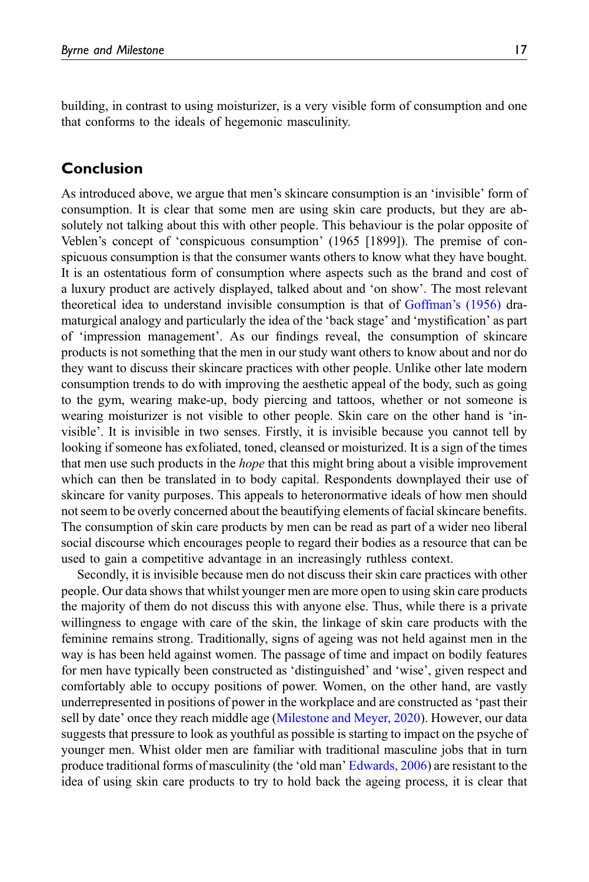building, in contrast to using moisturizer, is a very visible form of consumption and one that conforms to the ideals of hegemonic masculinity.

## Conclusion

As introduced above, we argue that men's skincare consumption is an 'invisible' form of consumption. It is clear that some men are using skin care products, but they are absolutely not talking about this with other people. This behaviour is the polar opposite of Veblen's concept of 'conspicuous consumption' (1965 [1899]). The premise of conspicuous consumption is that the consumer wants others to know what they have bought. It is an ostentatious form of consumption where aspects such as the brand and cost of a luxury product are actively displayed, talked about and 'on show'. The most relevant theoretical idea to understand invisible consumption is that of [Goffman](#page-20-3)'s (1956) dramaturgical analogy and particularly the idea of the 'back stage' and 'mystification' as part of 'impression management'. As our findings reveal, the consumption of skincare products is not something that the men in our study want others to know about and nor do they want to discuss their skincare practices with other people. Unlike other late modern consumption trends to do with improving the aesthetic appeal of the body, such as going to the gym, wearing make-up, body piercing and tattoos, whether or not someone is wearing moisturizer is not visible to other people. Skin care on the other hand is 'invisible'. It is invisible in two senses. Firstly, it is invisible because you cannot tell by looking if someone has exfoliated, toned, cleansed or moisturized. It is a sign of the times that men use such products in the *hope* that this might bring about a visible improvement which can then be translated in to body capital. Respondents downplayed their use of skincare for vanity purposes. This appeals to heteronormative ideals of how men should not seem to be overly concerned about the beautifying elements of facial skincare benefits. The consumption of skin care products by men can be read as part of a wider neo liberal social discourse which encourages people to regard their bodies as a resource that can be used to gain a competitive advantage in an increasingly ruthless context.

Secondly, it is invisible because men do not discuss their skin care practices with other people. Our data shows that whilst younger men are more open to using skin care products the majority of them do not discuss this with anyone else. Thus, while there is a private willingness to engage with care of the skin, the linkage of skin care products with the feminine remains strong. Traditionally, signs of ageing was not held against men in the way is has been held against women. The passage of time and impact on bodily features for men have typically been constructed as 'distinguished' and 'wise', given respect and comfortably able to occupy positions of power. Women, on the other hand, are vastly underrepresented in positions of power in the workplace and are constructed as 'past their sell by date' once they reach middle age ([Milestone and Meyer, 2020](#page-21-19)). However, our data suggests that pressure to look as youthful as possible is starting to impact on the psyche of younger men. Whist older men are familiar with traditional masculine jobs that in turn produce traditional forms of masculinity (the 'old man' [Edwards, 2006](#page-20-24)) are resistant to the idea of using skin care products to try to hold back the ageing process, it is clear that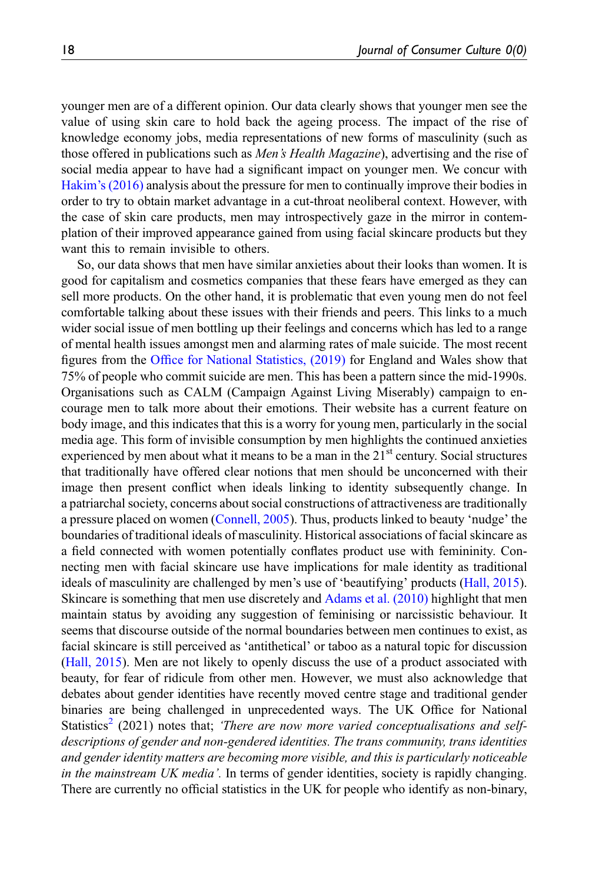younger men are of a different opinion. Our data clearly shows that younger men see the value of using skin care to hold back the ageing process. The impact of the rise of knowledge economy jobs, media representations of new forms of masculinity (such as those offered in publications such as *Men's Health Magazine*), advertising and the rise of social media appear to have had a significant impact on younger men. We concur with Hakim'[s \(2016\)](#page-20-1) analysis about the pressure for men to continually improve their bodies in order to try to obtain market advantage in a cut-throat neoliberal context. However, with the case of skin care products, men may introspectively gaze in the mirror in contemplation of their improved appearance gained from using facial skincare products but they want this to remain invisible to others.

So, our data shows that men have similar anxieties about their looks than women. It is good for capitalism and cosmetics companies that these fears have emerged as they can sell more products. On the other hand, it is problematic that even young men do not feel comfortable talking about these issues with their friends and peers. This links to a much wider social issue of men bottling up their feelings and concerns which has led to a range of mental health issues amongst men and alarming rates of male suicide. The most recent figures from the Offi[ce for National Statistics, \(2019\)](#page-21-20) for England and Wales show that 75% of people who commit suicide are men. This has been a pattern since the mid-1990s. Organisations such as CALM (Campaign Against Living Miserably) campaign to encourage men to talk more about their emotions. Their website has a current feature on body image, and this indicates that this is a worry for young men, particularly in the social media age. This form of invisible consumption by men highlights the continued anxieties experienced by men about what it means to be a man in the  $21<sup>st</sup>$  century. Social structures that traditionally have offered clear notions that men should be unconcerned with their image then present conflict when ideals linking to identity subsequently change. In a patriarchal society, concerns about social constructions of attractiveness are traditionally a pressure placed on women ([Connell, 2005\)](#page-20-11). Thus, products linked to beauty 'nudge' the boundaries of traditional ideals of masculinity. Historical associations of facial skincare as a field connected with women potentially conflates product use with femininity. Connecting men with facial skincare use have implications for male identity as traditional ideals of masculinity are challenged by men's use of 'beautifying' products ([Hall, 2015\)](#page-20-2). Skincare is something that men use discretely and [Adams et al. \(2010\)](#page-19-5) highlight that men maintain status by avoiding any suggestion of feminising or narcissistic behaviour. It seems that discourse outside of the normal boundaries between men continues to exist, as facial skincare is still perceived as 'antithetical' or taboo as a natural topic for discussion [\(Hall, 2015\)](#page-20-2). Men are not likely to openly discuss the use of a product associated with beauty, for fear of ridicule from other men. However, we must also acknowledge that debates about gender identities have recently moved centre stage and traditional gender binaries are being challenged in unprecedented ways. The UK Office for National Statistics<sup>2</sup> (2021) notes that; *There are now more varied conceptualisations and self*descriptions of gender and non-gendered identities. The trans community, trans identities and gender identity matters are becoming more visible, and this is particularly noticeable in the mainstream UK media'. In terms of gender identities, society is rapidly changing. There are currently no official statistics in the UK for people who identify as non-binary,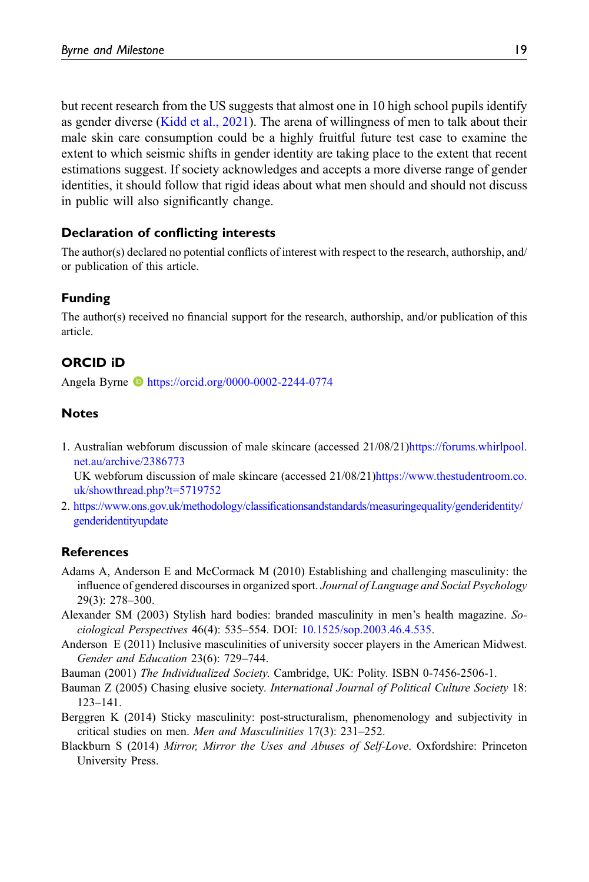but recent research from the US suggests that almost one in 10 high school pupils identify as gender diverse ([Kidd et al., 2021](#page-21-21)). The arena of willingness of men to talk about their male skin care consumption could be a highly fruitful future test case to examine the extent to which seismic shifts in gender identity are taking place to the extent that recent estimations suggest. If society acknowledges and accepts a more diverse range of gender identities, it should follow that rigid ideas about what men should and should not discuss in public will also significantly change.

## Declaration of conflicting interests

The author(s) declared no potential conflicts of interest with respect to the research, authorship, and/ or publication of this article.

## Funding

The author(s) received no financial support for the research, authorship, and/or publication of this article.

## ORCID iD

Angela Byrne <https://orcid.org/0000-0002-2244-0774>

## **Notes**

- 1. Australian webforum discussion of male skincare (accessed 21/08/21)[https://forums.whirlpool.](https://forums.whirlpool.net.au/archive/2386773) [net.au/archive/2386773](https://forums.whirlpool.net.au/archive/2386773) UK webforum discussion of male skincare (accessed 21/08/21[\)https://www.thestudentroom.co.](https://www.thestudentroom.co.uk/showthread.php?t=5719752) [uk/showthread.php?t=5719752](https://www.thestudentroom.co.uk/showthread.php?t=5719752)
- 2. https://www.ons.gov.uk/methodology/classifi[cationsandstandards/measuringequality/genderidentity/](https://www.ons.gov.uk/methodology/classificationsandstandards/measuringequality/genderidentity/genderidentityupdate) [genderidentityupdate](https://www.ons.gov.uk/methodology/classificationsandstandards/measuringequality/genderidentity/genderidentityupdate)

#### References

- <span id="page-19-5"></span>Adams A, Anderson E and McCormack M (2010) Establishing and challenging masculinity: the influence of gendered discourses in organized sport. Journal of Language and Social Psychology 29(3): 278–300.
- Alexander SM (2003) Stylish hard bodies: branded masculinity in men's health magazine. Sociological Perspectives 46(4): 535–554. DOI: [10.1525/sop.2003.46.4.535](https://doi.org/10.1525/sop.2003.46.4.535).
- <span id="page-19-4"></span>Anderson E (2011) Inclusive masculinities of university soccer players in the American Midwest. Gender and Education 23(6): 729–744.
- <span id="page-19-1"></span>Bauman (2001) The Individualized Society. Cambridge, UK: Polity. ISBN 0-7456-2506-1.
- <span id="page-19-0"></span>Bauman Z (2005) Chasing elusive society. International Journal of Political Culture Society 18: 123–141.
- <span id="page-19-3"></span>Berggren K (2014) Sticky masculinity: post-structuralism, phenomenology and subjectivity in critical studies on men. Men and Masculinities 17(3): 231–252.
- <span id="page-19-2"></span>Blackburn S (2014) Mirror, Mirror the Uses and Abuses of Self-Love. Oxfordshire: Princeton University Press.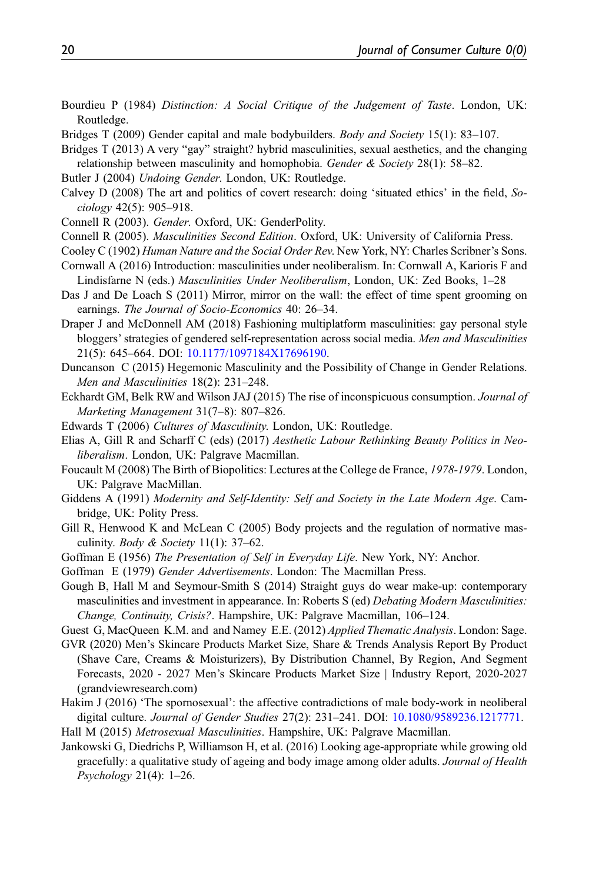- <span id="page-20-5"></span>Bourdieu P (1984) Distinction: A Social Critique of the Judgement of Taste. London, UK: Routledge.
- <span id="page-20-23"></span>Bridges T (2009) Gender capital and male bodybuilders. *Body and Society* 15(1): 83–107.
- <span id="page-20-12"></span>Bridges T (2013) A very "gay" straight? hybrid masculinities, sexual aesthetics, and the changing relationship between masculinity and homophobia. Gender  $\&$  Society 28(1): 58–82.
- <span id="page-20-19"></span>Butler J (2004) Undoing Gender. London, UK: Routledge.
- Calvey D (2008) The art and politics of covert research: doing 'situated ethics' in the field, Sociology 42(5): 905–918.
- <span id="page-20-14"></span>Connell R (2003). Gender. Oxford, UK: GenderPolity.
- <span id="page-20-11"></span>Connell R (2005). Masculinities Second Edition. Oxford, UK: University of California Press.
- <span id="page-20-15"></span>Cooley C (1902) Human Nature and the Social Order Rev. New York, NY: Charles Scribner's Sons.
- <span id="page-20-22"></span>Cornwall A (2016) Introduction: masculinities under neoliberalism. In: Cornwall A, Karioris F and Lindisfarne N (eds.) Masculinities Under Neoliberalism, London, UK: Zed Books, 1–28
- <span id="page-20-10"></span>Das J and De Loach S (2011) Mirror, mirror on the wall: the effect of time spent grooming on earnings. The Journal of Socio-Economics 40: 26–34.
- <span id="page-20-13"></span>Draper J and McDonnell AM (2018) Fashioning multiplatform masculinities: gay personal style bloggers' strategies of gendered self-representation across social media. Men and Masculinities 21(5): 645–664. DOI: [10.1177/1097184X17696190](https://doi.org/10.1177/1097184X17696190).
- <span id="page-20-18"></span>Duncanson C (2015) Hegemonic Masculinity and the Possibility of Change in Gender Relations. Men and Masculinities 18(2): 231–248.
- <span id="page-20-4"></span>Eckhardt GM, Belk RW and Wilson JAJ (2015) The rise of inconspicuous consumption. Journal of Marketing Management 31(7–8): 807–826.
- <span id="page-20-24"></span><span id="page-20-8"></span>Edwards T (2006) Cultures of Masculinity. London, UK: Routledge.
- Elias A, Gill R and Scharff C (eds) (2017) Aesthetic Labour Rethinking Beauty Politics in Neoliberalism. London, UK: Palgrave Macmillan.
- <span id="page-20-7"></span>Foucault M (2008) The Birth of Biopolitics: Lectures at the College de France, 1978-1979. London, UK: Palgrave MacMillan.
- <span id="page-20-6"></span>Giddens A (1991) Modernity and Self-Identity: Self and Society in the Late Modern Age. Cambridge, UK: Polity Press.
- <span id="page-20-9"></span>Gill R, Henwood K and McLean C (2005) Body projects and the regulation of normative masculinity. *Body & Society* 11(1): 37–62.
- <span id="page-20-21"></span><span id="page-20-3"></span>Goffman E (1956) The Presentation of Self in Everyday Life. New York, NY: Anchor.
- <span id="page-20-20"></span>Goffman E (1979) Gender Advertisements. London: The Macmillan Press.
- Gough B, Hall M and Seymour-Smith S (2014) Straight guys do wear make-up: contemporary masculinities and investment in appearance. In: Roberts S (ed) Debating Modern Masculinities: Change, Continuity, Crisis?. Hampshire, UK: Palgrave Macmillan, 106–124.
- <span id="page-20-16"></span>Guest G, MacQueen K.M. and and Namey E.E. (2012) *Applied Thematic Analysis*. London: Sage.
- <span id="page-20-0"></span>GVR (2020) Men's Skincare Products Market Size, Share & Trends Analysis Report By Product (Shave Care, Creams & Moisturizers), By Distribution Channel, By Region, And Segment Forecasts, 2020 - 2027 Men's Skincare Products Market Size | Industry Report, 2020-2027 (grandviewresearch.com)
- <span id="page-20-1"></span>Hakim J (2016) 'The spornosexual': the affective contradictions of male body-work in neoliberal digital culture. Journal of Gender Studies 27(2): 231–241. DOI: [10.1080/9589236.1217771](https://doi.org/10.1080/9589236.1217771).
- <span id="page-20-2"></span>Hall M (2015) Metrosexual Masculinities. Hampshire, UK: Palgrave Macmillan.
- <span id="page-20-17"></span>Jankowski G, Diedrichs P, Williamson H, et al. (2016) Looking age-appropriate while growing old gracefully: a qualitative study of ageing and body image among older adults. Journal of Health Psychology 21(4): 1–26.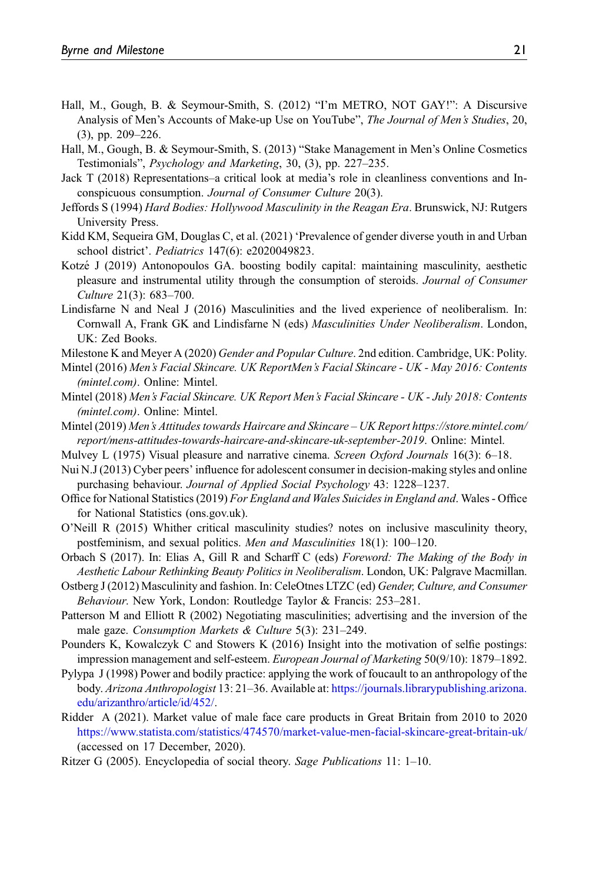- <span id="page-21-17"></span>Hall, M., Gough, B. & Seymour-Smith, S. (2012) "I'm METRO, NOT GAY!": A Discursive Analysis of Men's Accounts of Make-up Use on YouTube", The Journal of Men's Studies, 20, (3), pp. 209–226.
- <span id="page-21-15"></span>Hall, M., Gough, B. & Seymour-Smith, S. (2013) "Stake Management in Men's Online Cosmetics Testimonials", Psychology and Marketing, 30, (3), pp. 227–235.
- <span id="page-21-6"></span>Jack T (2018) Representations–a critical look at media's role in cleanliness conventions and Inconspicuous consumption. Journal of Consumer Culture 20(3).
- <span id="page-21-9"></span>Jeffords S (1994) Hard Bodies: Hollywood Masculinity in the Reagan Era. Brunswick, NJ: Rutgers University Press.
- <span id="page-21-21"></span>Kidd KM, Sequeira GM, Douglas C, et al. (2021) 'Prevalence of gender diverse youth in and Urban school district'. Pediatrics 147(6): e2020049823.
- <span id="page-21-3"></span>Kotzé J (2019) Antonopoulos GA. boosting bodily capital: maintaining masculinity, aesthetic pleasure and instrumental utility through the consumption of steroids. Journal of Consumer Culture 21(3): 683–700.
- <span id="page-21-1"></span>Lindisfarne N and Neal J (2016) Masculinities and the lived experience of neoliberalism. In: Cornwall A, Frank GK and Lindisfarne N (eds) Masculinities Under Neoliberalism. London, UK: Zed Books.
- <span id="page-21-19"></span>Milestone K and Meyer A (2020) Gender and Popular Culture. 2nd edition. Cambridge, UK: Polity.
- <span id="page-21-13"></span>Mintel (2016) Men's Facial Skincare. UK ReportMen's Facial Skincare - UK - May 2016: Contents (mintel.com). Online: Mintel.
- <span id="page-21-12"></span>Mintel (2018) Men's Facial Skincare. UK Report Men's Facial Skincare - UK - July 2018: Contents (mintel.com). Online: Mintel.
- <span id="page-21-8"></span>Mintel (2019) Men's Attitudes towards Haircare and Skincare – UK Report https://store.mintel.com/ report/mens-attitudes-towards-haircare-and-skincare-uk-september-2019. Online: Mintel.
- <span id="page-21-7"></span>Mulvey L (1975) Visual pleasure and narrative cinema. Screen Oxford Journals 16(3): 6–18.
- <span id="page-21-18"></span>Nui N.J (2013) Cyber peers' influence for adolescent consumer in decision-making styles and online purchasing behaviour. Journal of Applied Social Psychology 43: 1228–1237.
- <span id="page-21-20"></span>Office for National Statistics (2019) For England and Wales Suicides in England and. Wales - Office for National Statistics (ons.gov.uk).
- <span id="page-21-14"></span>O'Neill R (2015) Whither critical masculinity studies? notes on inclusive masculinity theory, postfeminism, and sexual politics. Men and Masculinities 18(1): 100–120.
- <span id="page-21-4"></span>Orbach S (2017). In: Elias A, Gill R and Scharff C (eds) Foreword: The Making of the Body in Aesthetic Labour Rethinking Beauty Politics in Neoliberalism. London, UK: Palgrave Macmillan.
- <span id="page-21-10"></span>Ostberg J (2012) Masculinity and fashion. In: CeleOtnes LTZC (ed) Gender, Culture, and Consumer Behaviour. New York, London: Routledge Taylor & Francis: 253–281.
- <span id="page-21-2"></span>Patterson M and Elliott R (2002) Negotiating masculinities; advertising and the inversion of the male gaze. Consumption Markets & Culture 5(3): 231–249.
- <span id="page-21-16"></span>Pounders K, Kowalczyk C and Stowers K (2016) Insight into the motivation of selfie postings: impression management and self-esteem. European Journal of Marketing 50(9/10): 1879–1892.
- <span id="page-21-5"></span>Pylypa J (1998) Power and bodily practice: applying the work of foucault to an anthropology of the body. Arizona Anthropologist 13: 21–36. Available at: [https://journals.librarypublishing.arizona.](https://journals.librarypublishing.arizona.edu/arizanthro/article/id/452/) [edu/arizanthro/article/id/452/](https://journals.librarypublishing.arizona.edu/arizanthro/article/id/452/).
- <span id="page-21-0"></span>Ridder A (2021). Market value of male face care products in Great Britain from 2010 to 2020 <https://www.statista.com/statistics/474570/market-value-men-facial-skincare-great-britain-uk/> (accessed on 17 December, 2020).
- <span id="page-21-11"></span>Ritzer G (2005). Encyclopedia of social theory. Sage Publications 11: 1–10.